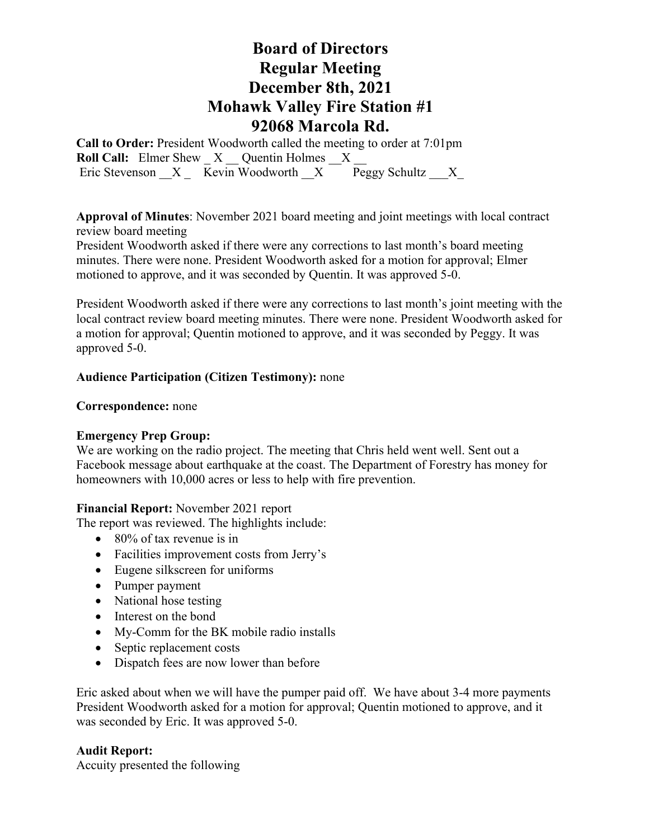## **Board of Directors Regular Meeting December 8th, 2021 Mohawk Valley Fire Station #1 92068 Marcola Rd.**

**Call to Order:** President Woodworth called the meeting to order at 7:01pm **Roll Call:** Elmer Shew X Quentin Holmes X Eric Stevenson  $X = \overline{\text{Kevin}}$  Woodworth  $X = \overline{\text{Peggy}}$  Schultz  $X = \overline{X}$ 

**Approval of Minutes**: November 2021 board meeting and joint meetings with local contract review board meeting

President Woodworth asked if there were any corrections to last month's board meeting minutes. There were none. President Woodworth asked for a motion for approval; Elmer motioned to approve, and it was seconded by Quentin. It was approved 5-0.

President Woodworth asked if there were any corrections to last month's joint meeting with the local contract review board meeting minutes. There were none. President Woodworth asked for a motion for approval; Quentin motioned to approve, and it was seconded by Peggy. It was approved 5-0.

## **Audience Participation (Citizen Testimony):** none

### **Correspondence:** none

## **Emergency Prep Group:**

We are working on the radio project. The meeting that Chris held went well. Sent out a Facebook message about earthquake at the coast. The Department of Forestry has money for homeowners with 10,000 acres or less to help with fire prevention.

### **Financial Report:** November 2021 report

The report was reviewed. The highlights include:

- 80% of tax revenue is in
- Facilities improvement costs from Jerry's
- Eugene silkscreen for uniforms
- Pumper payment
- National hose testing
- Interest on the bond
- My-Comm for the BK mobile radio installs
- Septic replacement costs
- Dispatch fees are now lower than before

Eric asked about when we will have the pumper paid off. We have about 3-4 more payments President Woodworth asked for a motion for approval; Quentin motioned to approve, and it was seconded by Eric. It was approved 5-0.

### **Audit Report:**

Accuity presented the following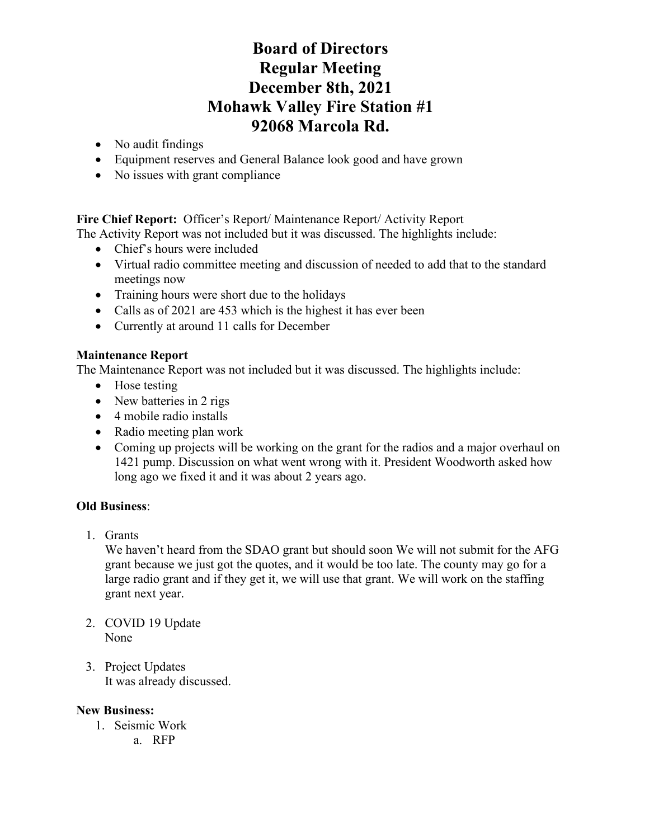# **Board of Directors Regular Meeting December 8th, 2021 Mohawk Valley Fire Station #1 92068 Marcola Rd.**

- No audit findings
- Equipment reserves and General Balance look good and have grown
- No issues with grant compliance

**Fire Chief Report:** Officer's Report/ Maintenance Report/ Activity Report

The Activity Report was not included but it was discussed. The highlights include:

- Chief's hours were included
- Virtual radio committee meeting and discussion of needed to add that to the standard meetings now
- Training hours were short due to the holidays
- Calls as of 2021 are 453 which is the highest it has ever been
- Currently at around 11 calls for December

## **Maintenance Report**

The Maintenance Report was not included but it was discussed. The highlights include:

- Hose testing
- New batteries in 2 rigs
- 4 mobile radio installs
- Radio meeting plan work
- Coming up projects will be working on the grant for the radios and a major overhaul on 1421 pump. Discussion on what went wrong with it. President Woodworth asked how long ago we fixed it and it was about 2 years ago.

## **Old Business**:

1. Grants

We haven't heard from the SDAO grant but should soon We will not submit for the AFG grant because we just got the quotes, and it would be too late. The county may go for a large radio grant and if they get it, we will use that grant. We will work on the staffing grant next year.

- 2. COVID 19 Update None
- 3. Project Updates It was already discussed.

## **New Business:**

- 1. Seismic Work
	- a. RFP